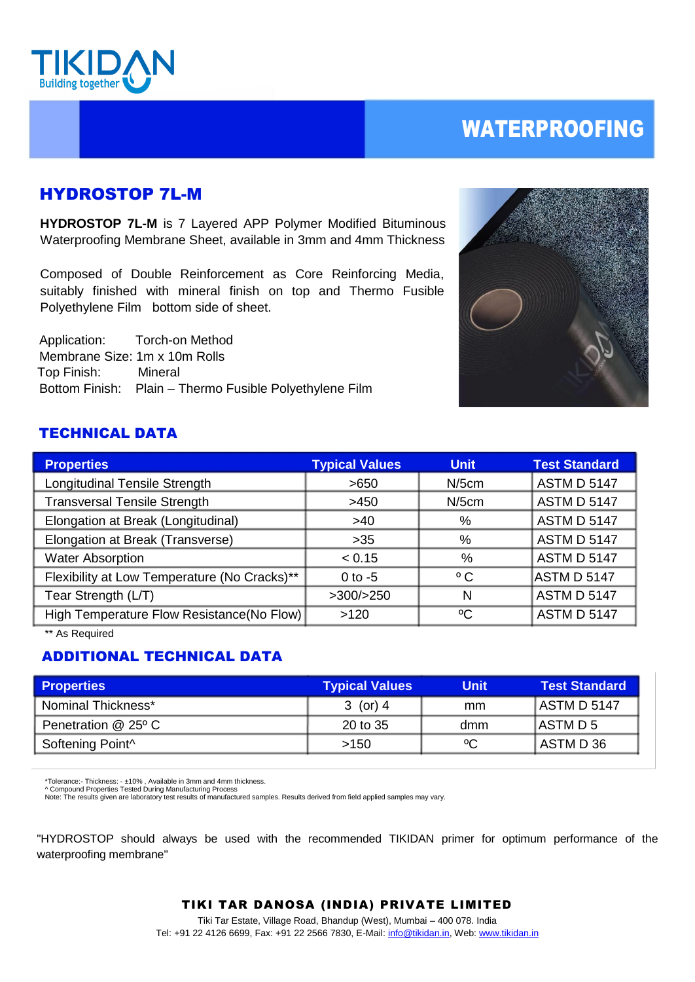

# WATERPROOFING

## HYDROSTOP 7L-M

**HYDROSTOP 7L-M** is 7 Layered APP Polymer Modified Bituminous Waterproofing Membrane Sheet, available in 3mm and 4mm Thickness

Composed of Double Reinforcement as Core Reinforcing Media, suitably finished with mineral finish on top and Thermo Fusible Polyethylene Film bottom side of sheet.

 Application: Torch-on Method Membrane Size: 1m x 10m Rolls Top Finish: Mineral Bottom Finish: Plain – Thermo Fusible Polyethylene Film



## TECHNICAL DATA

| <b>Properties</b>                            | <b>Typical Values</b> | <b>Unit</b>  | <b>Test Standard</b> |
|----------------------------------------------|-----------------------|--------------|----------------------|
| Longitudinal Tensile Strength                | >650                  | $N/5$ cm     | <b>ASTM D 5147</b>   |
| <b>Transversal Tensile Strength</b>          | >450                  | $N/5$ cm     | <b>ASTM D 5147</b>   |
| Elongation at Break (Longitudinal)           | >40                   | %            | <b>ASTM D 5147</b>   |
| Elongation at Break (Transverse)             | $>35$                 | %            | <b>ASTM D 5147</b>   |
| <b>Water Absorption</b>                      | < 0.15                | %            | <b>ASTM D 5147</b>   |
| Flexibility at Low Temperature (No Cracks)** | $0$ to $-5$           | $^{\circ}$ C | ASTM D 5147          |
| Tear Strength (L/T)                          | >300/>250             | N            | <b>ASTM D 5147</b>   |
| High Temperature Flow Resistance(No Flow)    | >120                  | °C           | <b>ASTM D 5147</b>   |

\*\* As Required

### ADDITIONAL TECHNICAL DATA

| <b>Properties</b>            | <b>Typical Values</b> | Unit | <b>Test Standard</b> |
|------------------------------|-----------------------|------|----------------------|
| Nominal Thickness*           | 3 (or) 4              | mm   | LASTM D 5147         |
| Penetration @ 25° C          | 20 to 35              | dmm  | IASTM D 5            |
| Softening Point <sup>^</sup> | >150                  | °C   | I ASTM D 36          |

\*Tolerance:- Thickness: - ±10% , Available in 3mm and 4mm thickness. ^ Compound Properties Tested During Manufacturing Process

Note: The results given are laboratory test results of manufactured samples. Results derived from field applied samples may vary.

"HYDROSTOP should always be used with the recommended TIKIDAN primer for optimum performance of the waterproofing membrane"

#### TIKI TAR DANOSA (INDIA) PRIVATE LIMITED